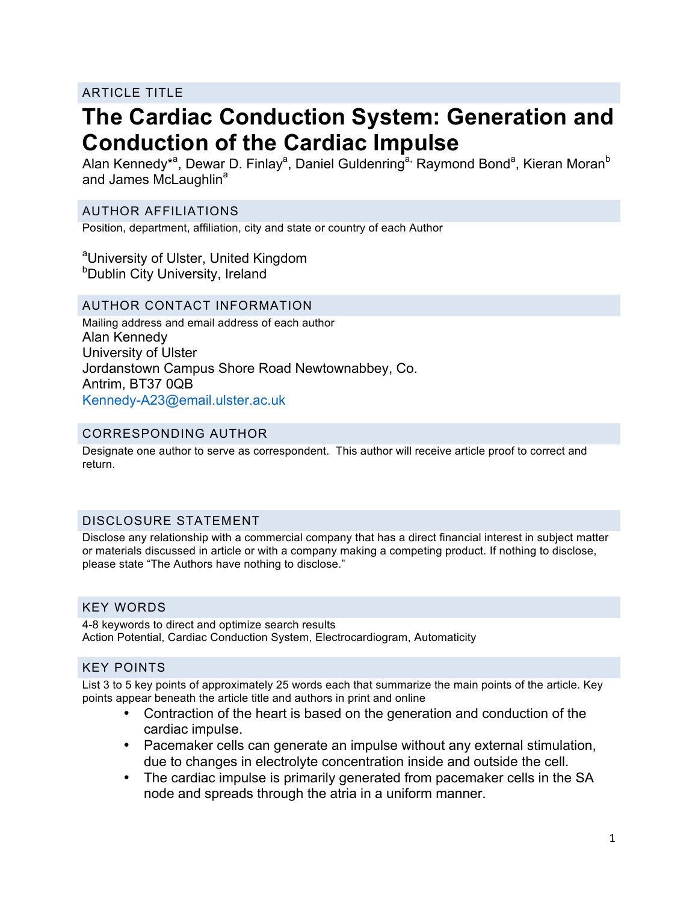## ARTICLE TITLE

# **The Cardiac Conduction System: Generation and Conduction of the Cardiac Impulse**

Alan Kennedy\*<sup>a</sup>, Dewar D. Finlay<sup>a</sup>, Daniel Guldenring<sup>a,</sup> Raymond Bond<sup>a</sup>, Kieran Moran<sup>b</sup> and James McLaughlin<sup>a</sup>

## AUTHOR AFFILIATIONS

Position, department, affiliation, city and state or country of each Author

<sup>a</sup>University of Ulster, United Kingdom **b**Dublin City University, Ireland

#### AUTHOR CONTACT INFORMATION

Mailing address and email address of each author Alan Kennedy University of Ulster Jordanstown Campus Shore Road Newtownabbey, Co. Antrim, BT37 0QB Kennedy-A23@email.ulster.ac.uk

#### CORRESPONDING AUTHOR

Designate one author to serve as correspondent. This author will receive article proof to correct and return.

## DISCLOSURE STATEMENT

Disclose any relationship with a commercial company that has a direct financial interest in subject matter or materials discussed in article or with a company making a competing product. If nothing to disclose, please state "The Authors have nothing to disclose."

## KEY WORDS

4-8 keywords to direct and optimize search results Action Potential, Cardiac Conduction System, Electrocardiogram, Automaticity

## KEY POINTS

List 3 to 5 key points of approximately 25 words each that summarize the main points of the article. Key points appear beneath the article title and authors in print and online

- Contraction of the heart is based on the generation and conduction of the cardiac impulse.
- Pacemaker cells can generate an impulse without any external stimulation, due to changes in electrolyte concentration inside and outside the cell.
- The cardiac impulse is primarily generated from pacemaker cells in the SA node and spreads through the atria in a uniform manner.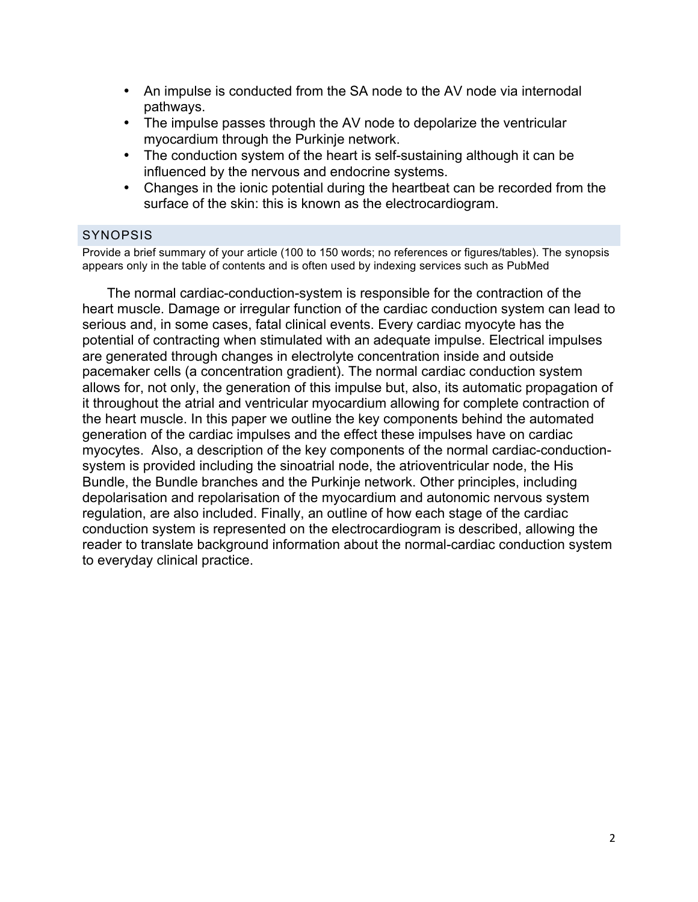- An impulse is conducted from the SA node to the AV node via internodal pathways.
- The impulse passes through the AV node to depolarize the ventricular myocardium through the Purkinje network.
- The conduction system of the heart is self-sustaining although it can be influenced by the nervous and endocrine systems.
- Changes in the ionic potential during the heartbeat can be recorded from the surface of the skin: this is known as the electrocardiogram.

## SYNOPSIS

Provide a brief summary of your article (100 to 150 words; no references or figures/tables). The synopsis appears only in the table of contents and is often used by indexing services such as PubMed

The normal cardiac-conduction-system is responsible for the contraction of the heart muscle. Damage or irregular function of the cardiac conduction system can lead to serious and, in some cases, fatal clinical events. Every cardiac myocyte has the potential of contracting when stimulated with an adequate impulse. Electrical impulses are generated through changes in electrolyte concentration inside and outside pacemaker cells (a concentration gradient). The normal cardiac conduction system allows for, not only, the generation of this impulse but, also, its automatic propagation of it throughout the atrial and ventricular myocardium allowing for complete contraction of the heart muscle. In this paper we outline the key components behind the automated generation of the cardiac impulses and the effect these impulses have on cardiac myocytes. Also, a description of the key components of the normal cardiac-conductionsystem is provided including the sinoatrial node, the atrioventricular node, the His Bundle, the Bundle branches and the Purkinje network. Other principles, including depolarisation and repolarisation of the myocardium and autonomic nervous system regulation, are also included. Finally, an outline of how each stage of the cardiac conduction system is represented on the electrocardiogram is described, allowing the reader to translate background information about the normal-cardiac conduction system to everyday clinical practice.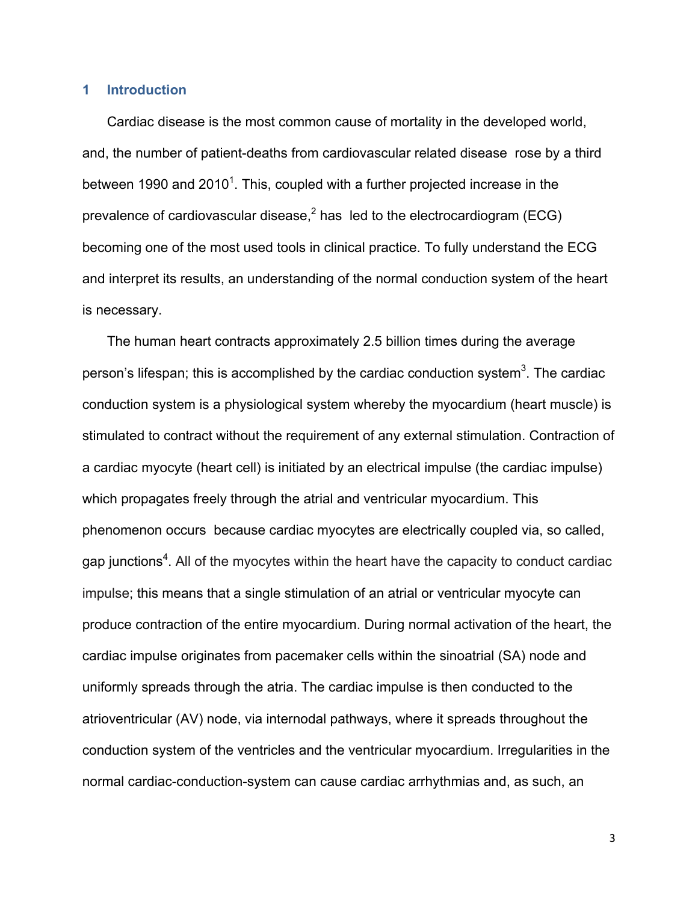#### **1 Introduction**

Cardiac disease is the most common cause of mortality in the developed world, and, the number of patient-deaths from cardiovascular related disease rose by a third between 1990 and 2010<sup>1</sup>. This, coupled with a further projected increase in the prevalence of cardiovascular disease,  $2$  has led to the electrocardiogram (ECG) becoming one of the most used tools in clinical practice. To fully understand the ECG and interpret its results, an understanding of the normal conduction system of the heart is necessary.

The human heart contracts approximately 2.5 billion times during the average person's lifespan; this is accomplished by the cardiac conduction system<sup>3</sup>. The cardiac conduction system is a physiological system whereby the myocardium (heart muscle) is stimulated to contract without the requirement of any external stimulation. Contraction of a cardiac myocyte (heart cell) is initiated by an electrical impulse (the cardiac impulse) which propagates freely through the atrial and ventricular myocardium. This phenomenon occurs because cardiac myocytes are electrically coupled via, so called, gap junctions<sup>4</sup>. All of the myocytes within the heart have the capacity to conduct cardiac impulse; this means that a single stimulation of an atrial or ventricular myocyte can produce contraction of the entire myocardium. During normal activation of the heart, the cardiac impulse originates from pacemaker cells within the sinoatrial (SA) node and uniformly spreads through the atria. The cardiac impulse is then conducted to the atrioventricular (AV) node, via internodal pathways, where it spreads throughout the conduction system of the ventricles and the ventricular myocardium. Irregularities in the normal cardiac-conduction-system can cause cardiac arrhythmias and, as such, an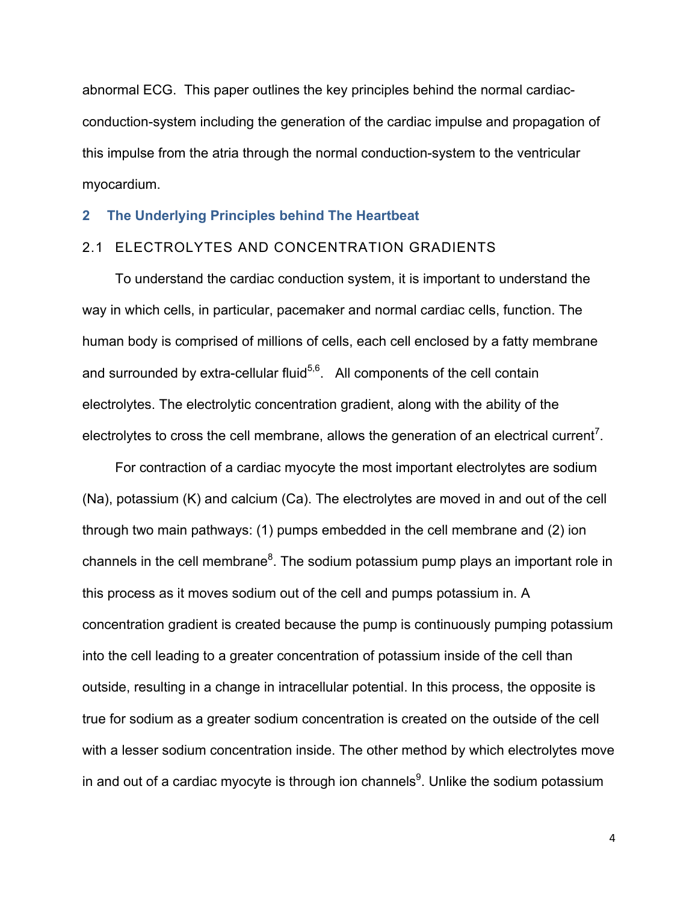abnormal ECG. This paper outlines the key principles behind the normal cardiacconduction-system including the generation of the cardiac impulse and propagation of this impulse from the atria through the normal conduction-system to the ventricular myocardium.

#### **2 The Underlying Principles behind The Heartbeat**

## 2.1 ELECTROLYTES AND CONCENTRATION GRADIENTS

To understand the cardiac conduction system, it is important to understand the way in which cells, in particular, pacemaker and normal cardiac cells, function. The human body is comprised of millions of cells, each cell enclosed by a fatty membrane and surrounded by extra-cellular fluid<sup>5,6</sup>. All components of the cell contain electrolytes. The electrolytic concentration gradient, along with the ability of the electrolytes to cross the cell membrane, allows the generation of an electrical current<sup>7</sup>.

For contraction of a cardiac myocyte the most important electrolytes are sodium (Na), potassium (K) and calcium (Ca). The electrolytes are moved in and out of the cell through two main pathways: (1) pumps embedded in the cell membrane and (2) ion channels in the cell membrane ${}^{8}$ . The sodium potassium pump plays an important role in this process as it moves sodium out of the cell and pumps potassium in. A concentration gradient is created because the pump is continuously pumping potassium into the cell leading to a greater concentration of potassium inside of the cell than outside, resulting in a change in intracellular potential. In this process, the opposite is true for sodium as a greater sodium concentration is created on the outside of the cell with a lesser sodium concentration inside. The other method by which electrolytes move in and out of a cardiac myocyte is through ion channels<sup>9</sup>. Unlike the sodium potassium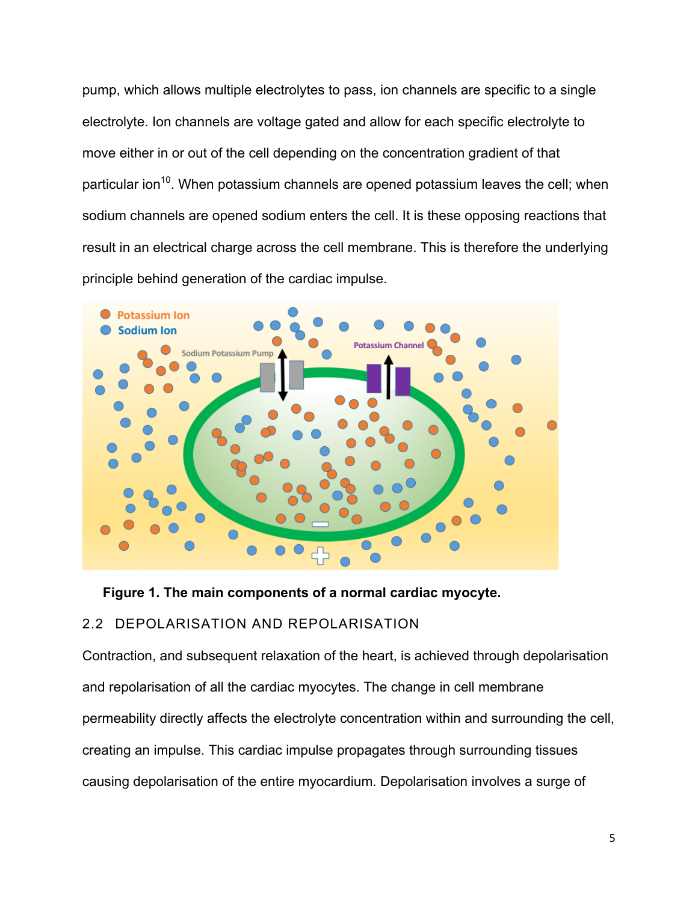pump, which allows multiple electrolytes to pass, ion channels are specific to a single electrolyte. Ion channels are voltage gated and allow for each specific electrolyte to move either in or out of the cell depending on the concentration gradient of that particular ion<sup>10</sup>. When potassium channels are opened potassium leaves the cell; when sodium channels are opened sodium enters the cell. It is these opposing reactions that result in an electrical charge across the cell membrane. This is therefore the underlying principle behind generation of the cardiac impulse.



**Figure 1. The main components of a normal cardiac myocyte.**

## 2.2 DEPOLARISATION AND REPOLARISATION

Contraction, and subsequent relaxation of the heart, is achieved through depolarisation and repolarisation of all the cardiac myocytes. The change in cell membrane permeability directly affects the electrolyte concentration within and surrounding the cell, creating an impulse. This cardiac impulse propagates through surrounding tissues causing depolarisation of the entire myocardium. Depolarisation involves a surge of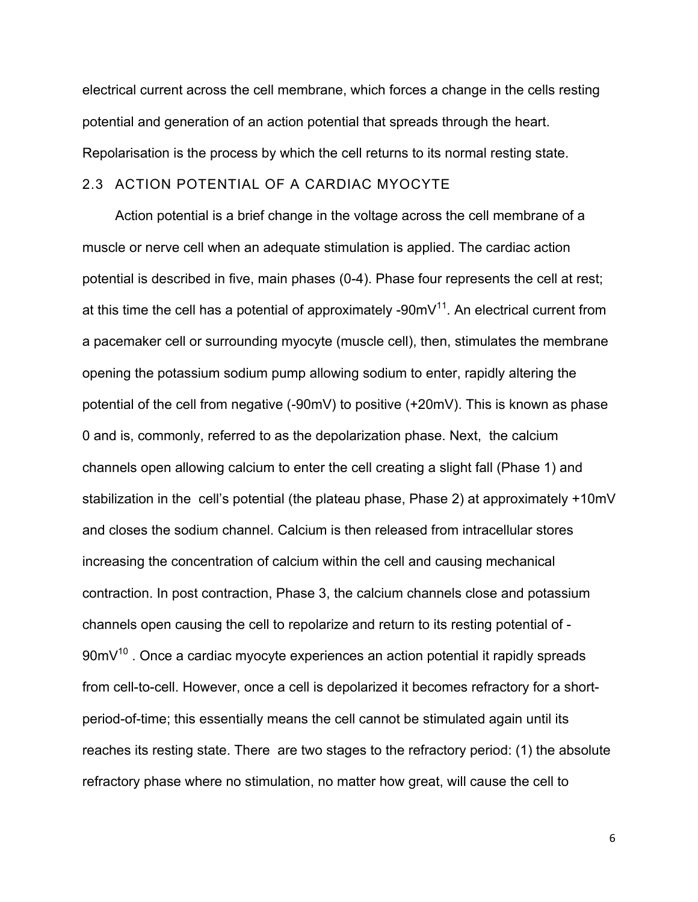electrical current across the cell membrane, which forces a change in the cells resting potential and generation of an action potential that spreads through the heart. Repolarisation is the process by which the cell returns to its normal resting state.

## 2.3 ACTION POTENTIAL OF A CARDIAC MYOCYTE

Action potential is a brief change in the voltage across the cell membrane of a muscle or nerve cell when an adequate stimulation is applied. The cardiac action potential is described in five, main phases (0-4). Phase four represents the cell at rest; at this time the cell has a potential of approximately -90mV $^{11}$ . An electrical current from a pacemaker cell or surrounding myocyte (muscle cell), then, stimulates the membrane opening the potassium sodium pump allowing sodium to enter, rapidly altering the potential of the cell from negative (-90mV) to positive (+20mV). This is known as phase 0 and is, commonly, referred to as the depolarization phase. Next, the calcium channels open allowing calcium to enter the cell creating a slight fall (Phase 1) and stabilization in the cell's potential (the plateau phase, Phase 2) at approximately +10mV and closes the sodium channel. Calcium is then released from intracellular stores increasing the concentration of calcium within the cell and causing mechanical contraction. In post contraction, Phase 3, the calcium channels close and potassium channels open causing the cell to repolarize and return to its resting potential of -  $90mV^{10}$ . Once a cardiac myocyte experiences an action potential it rapidly spreads from cell-to-cell. However, once a cell is depolarized it becomes refractory for a shortperiod-of-time; this essentially means the cell cannot be stimulated again until its reaches its resting state. There are two stages to the refractory period: (1) the absolute refractory phase where no stimulation, no matter how great, will cause the cell to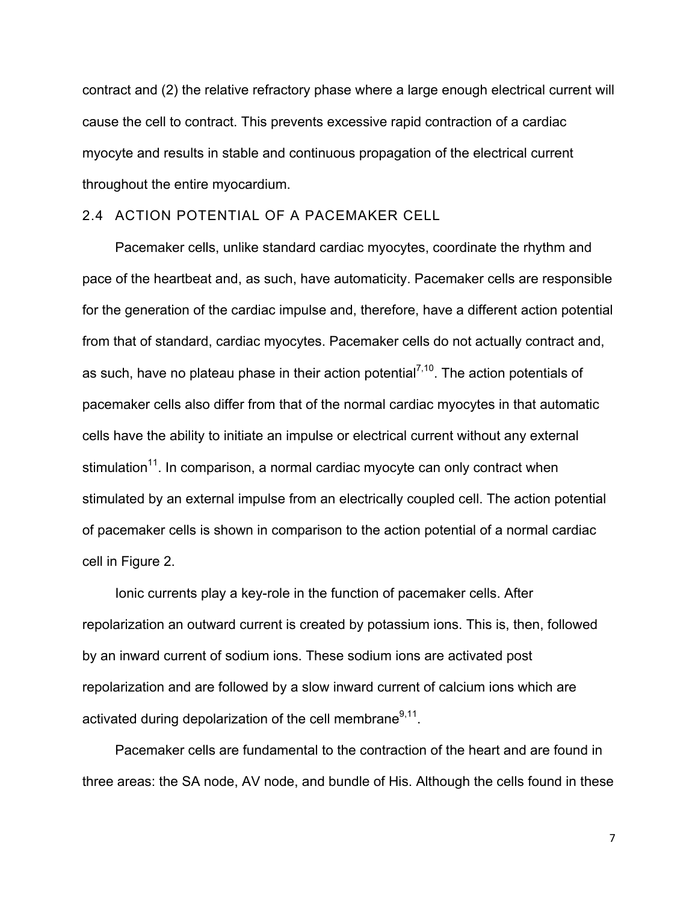contract and (2) the relative refractory phase where a large enough electrical current will cause the cell to contract. This prevents excessive rapid contraction of a cardiac myocyte and results in stable and continuous propagation of the electrical current throughout the entire myocardium.

## 2.4 ACTION POTENTIAL OF A PACEMAKER CELL

Pacemaker cells, unlike standard cardiac myocytes, coordinate the rhythm and pace of the heartbeat and, as such, have automaticity. Pacemaker cells are responsible for the generation of the cardiac impulse and, therefore, have a different action potential from that of standard, cardiac myocytes. Pacemaker cells do not actually contract and, as such, have no plateau phase in their action potential<sup>7,10</sup>. The action potentials of pacemaker cells also differ from that of the normal cardiac myocytes in that automatic cells have the ability to initiate an impulse or electrical current without any external stimulation<sup>11</sup>. In comparison, a normal cardiac myocyte can only contract when stimulated by an external impulse from an electrically coupled cell. The action potential of pacemaker cells is shown in comparison to the action potential of a normal cardiac cell in Figure 2.

Ionic currents play a key-role in the function of pacemaker cells. After repolarization an outward current is created by potassium ions. This is, then, followed by an inward current of sodium ions. These sodium ions are activated post repolarization and are followed by a slow inward current of calcium ions which are activated during depolarization of the cell membrane $9,11$ .

Pacemaker cells are fundamental to the contraction of the heart and are found in three areas: the SA node, AV node, and bundle of His. Although the cells found in these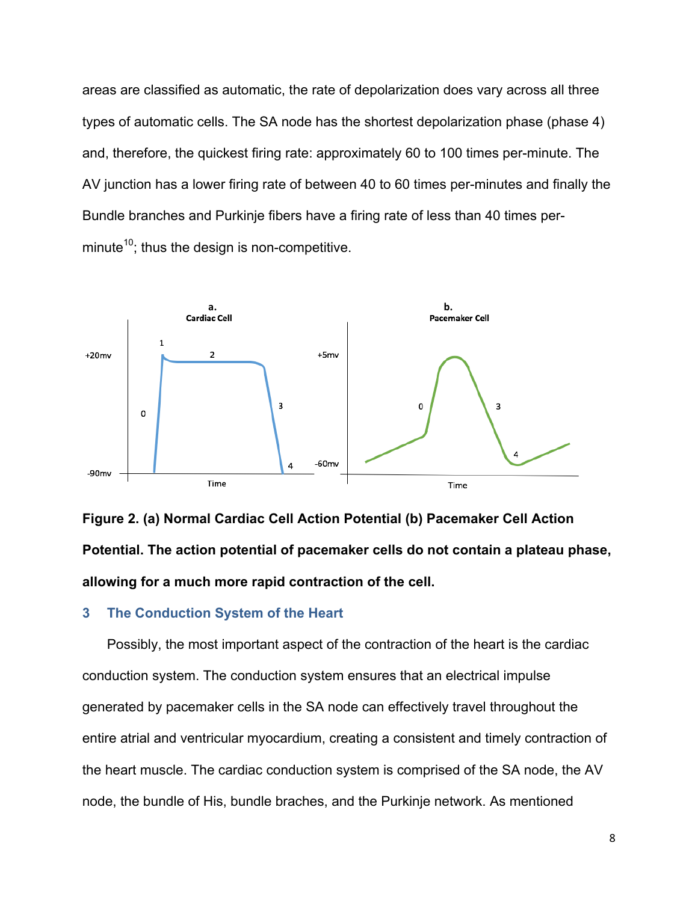areas are classified as automatic, the rate of depolarization does vary across all three types of automatic cells. The SA node has the shortest depolarization phase (phase 4) and, therefore, the quickest firing rate: approximately 60 to 100 times per-minute. The AV junction has a lower firing rate of between 40 to 60 times per-minutes and finally the Bundle branches and Purkinje fibers have a firing rate of less than 40 times perminute<sup>10</sup>; thus the design is non-competitive.



**Figure 2. (a) Normal Cardiac Cell Action Potential (b) Pacemaker Cell Action Potential. The action potential of pacemaker cells do not contain a plateau phase, allowing for a much more rapid contraction of the cell.** 

#### **3 The Conduction System of the Heart**

Possibly, the most important aspect of the contraction of the heart is the cardiac conduction system. The conduction system ensures that an electrical impulse generated by pacemaker cells in the SA node can effectively travel throughout the entire atrial and ventricular myocardium, creating a consistent and timely contraction of the heart muscle. The cardiac conduction system is comprised of the SA node, the AV node, the bundle of His, bundle braches, and the Purkinje network. As mentioned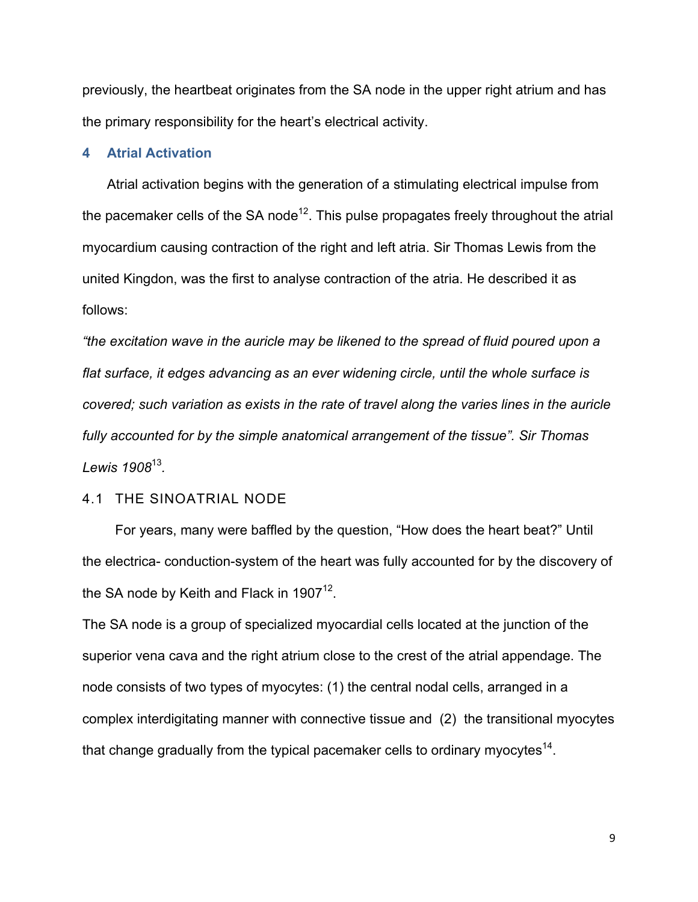previously, the heartbeat originates from the SA node in the upper right atrium and has the primary responsibility for the heart's electrical activity.

## **4 Atrial Activation**

Atrial activation begins with the generation of a stimulating electrical impulse from the pacemaker cells of the SA node<sup>12</sup>. This pulse propagates freely throughout the atrial myocardium causing contraction of the right and left atria. Sir Thomas Lewis from the united Kingdon, was the first to analyse contraction of the atria. He described it as follows:

*"the excitation wave in the auricle may be likened to the spread of fluid poured upon a flat surface, it edges advancing as an ever widening circle, until the whole surface is covered; such variation as exists in the rate of travel along the varies lines in the auricle fully accounted for by the simple anatomical arrangement of the tissue". Sir Thomas Lewis 1908*<sup>13</sup>*.*

#### 4.1 THE SINOATRIAL NODE

For years, many were baffled by the question, "How does the heart beat?" Until the electrica- conduction-system of the heart was fully accounted for by the discovery of the SA node by Keith and Flack in  $1907^{12}$ .

The SA node is a group of specialized myocardial cells located at the junction of the superior vena cava and the right atrium close to the crest of the atrial appendage. The node consists of two types of myocytes: (1) the central nodal cells, arranged in a complex interdigitating manner with connective tissue and (2) the transitional myocytes that change gradually from the typical pacemaker cells to ordinary myocytes<sup>14</sup>.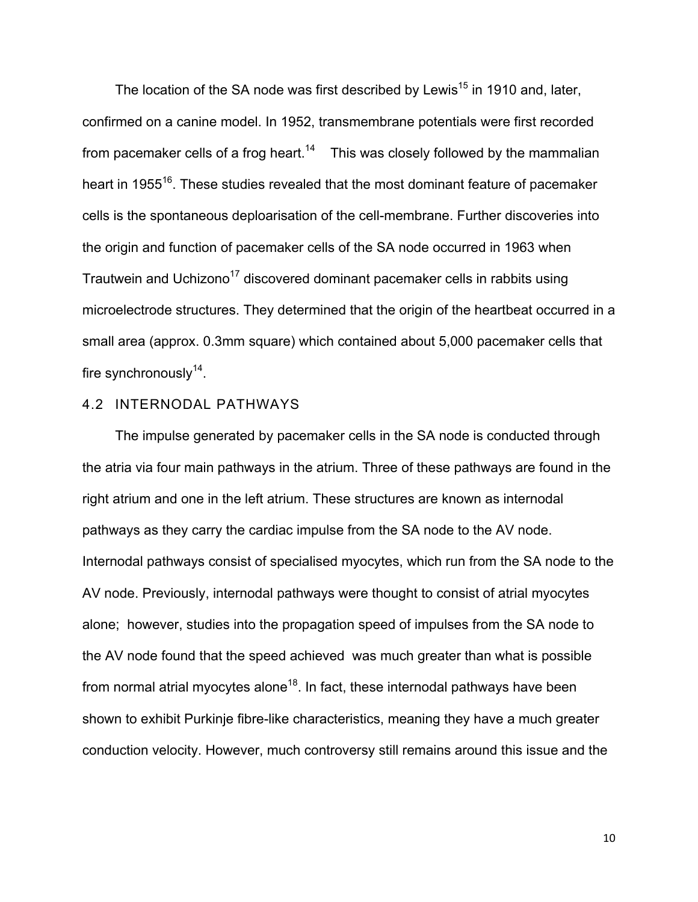The location of the SA node was first described by Lewis<sup>15</sup> in 1910 and, later, confirmed on a canine model. In 1952, transmembrane potentials were first recorded from pacemaker cells of a frog heart.<sup>14</sup> This was closely followed by the mammalian heart in 1955<sup>16</sup>. These studies revealed that the most dominant feature of pacemaker cells is the spontaneous deploarisation of the cell-membrane. Further discoveries into the origin and function of pacemaker cells of the SA node occurred in 1963 when Trautwein and Uchizono<sup>17</sup> discovered dominant pacemaker cells in rabbits using microelectrode structures. They determined that the origin of the heartbeat occurred in a small area (approx. 0.3mm square) which contained about 5,000 pacemaker cells that fire synchronously $14$ .

## 4.2 INTERNODAL PATHWAYS

The impulse generated by pacemaker cells in the SA node is conducted through the atria via four main pathways in the atrium. Three of these pathways are found in the right atrium and one in the left atrium. These structures are known as internodal pathways as they carry the cardiac impulse from the SA node to the AV node. Internodal pathways consist of specialised myocytes, which run from the SA node to the AV node. Previously, internodal pathways were thought to consist of atrial myocytes alone; however, studies into the propagation speed of impulses from the SA node to the AV node found that the speed achieved was much greater than what is possible from normal atrial myocytes alone<sup>18</sup>. In fact, these internodal pathways have been shown to exhibit Purkinje fibre-like characteristics, meaning they have a much greater conduction velocity. However, much controversy still remains around this issue and the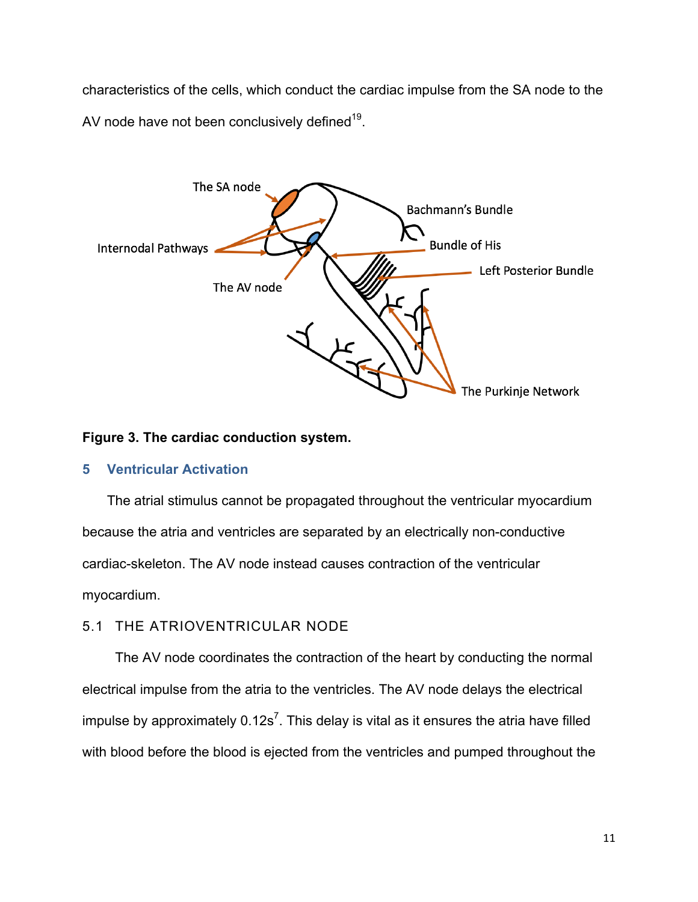characteristics of the cells, which conduct the cardiac impulse from the SA node to the AV node have not been conclusively defined $19$ .



## **Figure 3. The cardiac conduction system.**

## **5 Ventricular Activation**

The atrial stimulus cannot be propagated throughout the ventricular myocardium because the atria and ventricles are separated by an electrically non-conductive cardiac-skeleton. The AV node instead causes contraction of the ventricular myocardium.

## 5.1 THE ATRIOVENTRICULAR NODE

The AV node coordinates the contraction of the heart by conducting the normal electrical impulse from the atria to the ventricles. The AV node delays the electrical impulse by approximately  $0.12s^7$ . This delay is vital as it ensures the atria have filled with blood before the blood is ejected from the ventricles and pumped throughout the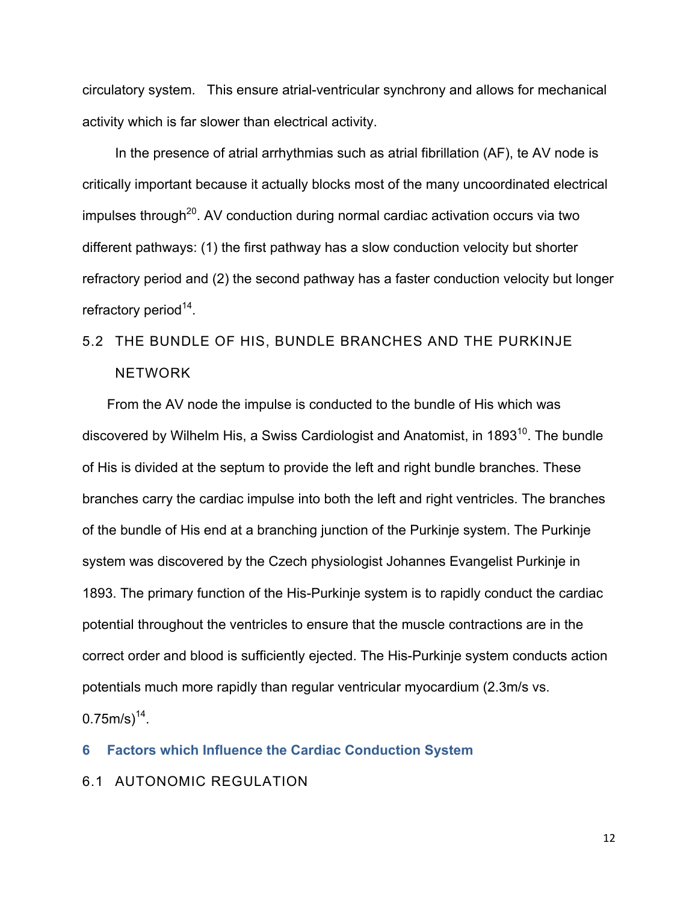circulatory system. This ensure atrial-ventricular synchrony and allows for mechanical activity which is far slower than electrical activity.

In the presence of atrial arrhythmias such as atrial fibrillation (AF), te AV node is critically important because it actually blocks most of the many uncoordinated electrical  $impulses$  through<sup>20</sup>. AV conduction during normal cardiac activation occurs via two different pathways: (1) the first pathway has a slow conduction velocity but shorter refractory period and (2) the second pathway has a faster conduction velocity but longer refractory period $14$ .

## 5.2 THE BUNDLE OF HIS, BUNDLE BRANCHES AND THE PURKINJE NETWORK

From the AV node the impulse is conducted to the bundle of His which was discovered by Wilhelm His, a Swiss Cardiologist and Anatomist, in 1893 $^{10}$ . The bundle of His is divided at the septum to provide the left and right bundle branches. These branches carry the cardiac impulse into both the left and right ventricles. The branches of the bundle of His end at a branching junction of the Purkinje system. The Purkinje system was discovered by the Czech physiologist Johannes Evangelist Purkinje in 1893. The primary function of the His-Purkinje system is to rapidly conduct the cardiac potential throughout the ventricles to ensure that the muscle contractions are in the correct order and blood is sufficiently ejected. The His-Purkinje system conducts action potentials much more rapidly than regular ventricular myocardium (2.3m/s vs.  $0.75$ m/s)<sup>14</sup>.

**6 Factors which Influence the Cardiac Conduction System**

6.1 AUTONOMIC REGULATION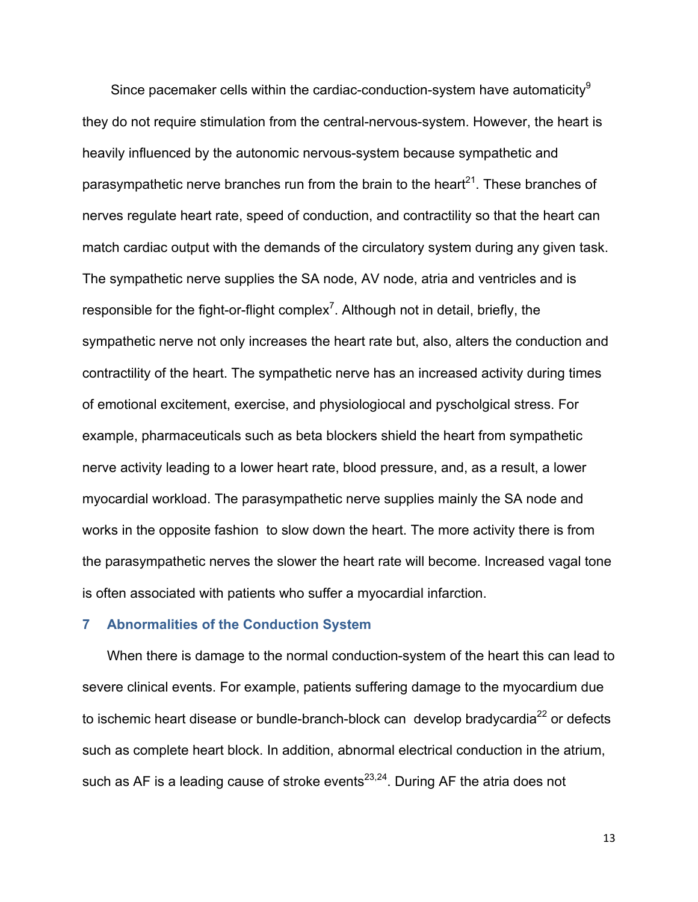Since pacemaker cells within the cardiac-conduction-system have automaticity<sup>9</sup> they do not require stimulation from the central-nervous-system. However, the heart is heavily influenced by the autonomic nervous-system because sympathetic and parasympathetic nerve branches run from the brain to the heart<sup>21</sup>. These branches of nerves regulate heart rate, speed of conduction, and contractility so that the heart can match cardiac output with the demands of the circulatory system during any given task. The sympathetic nerve supplies the SA node, AV node, atria and ventricles and is responsible for the fight-or-flight complex<sup>7</sup>. Although not in detail, briefly, the sympathetic nerve not only increases the heart rate but, also, alters the conduction and contractility of the heart. The sympathetic nerve has an increased activity during times of emotional excitement, exercise, and physiologiocal and pyscholgical stress. For example, pharmaceuticals such as beta blockers shield the heart from sympathetic nerve activity leading to a lower heart rate, blood pressure, and, as a result, a lower myocardial workload. The parasympathetic nerve supplies mainly the SA node and works in the opposite fashion to slow down the heart. The more activity there is from the parasympathetic nerves the slower the heart rate will become. Increased vagal tone is often associated with patients who suffer a myocardial infarction.

## **7 Abnormalities of the Conduction System**

When there is damage to the normal conduction-system of the heart this can lead to severe clinical events. For example, patients suffering damage to the myocardium due to ischemic heart disease or bundle-branch-block can develop bradycardia<sup>22</sup> or defects such as complete heart block. In addition, abnormal electrical conduction in the atrium, such as AF is a leading cause of stroke events<sup>23,24</sup>. During AF the atria does not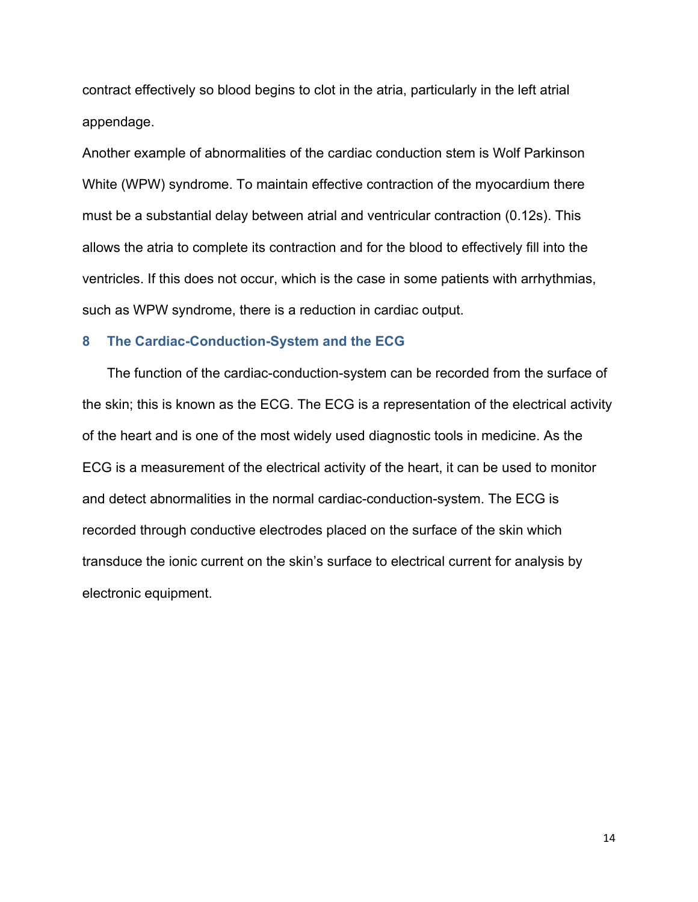contract effectively so blood begins to clot in the atria, particularly in the left atrial appendage.

Another example of abnormalities of the cardiac conduction stem is Wolf Parkinson White (WPW) syndrome. To maintain effective contraction of the myocardium there must be a substantial delay between atrial and ventricular contraction (0.12s). This allows the atria to complete its contraction and for the blood to effectively fill into the ventricles. If this does not occur, which is the case in some patients with arrhythmias, such as WPW syndrome, there is a reduction in cardiac output.

#### **8 The Cardiac-Conduction-System and the ECG**

The function of the cardiac-conduction-system can be recorded from the surface of the skin; this is known as the ECG. The ECG is a representation of the electrical activity of the heart and is one of the most widely used diagnostic tools in medicine. As the ECG is a measurement of the electrical activity of the heart, it can be used to monitor and detect abnormalities in the normal cardiac-conduction-system. The ECG is recorded through conductive electrodes placed on the surface of the skin which transduce the ionic current on the skin's surface to electrical current for analysis by electronic equipment.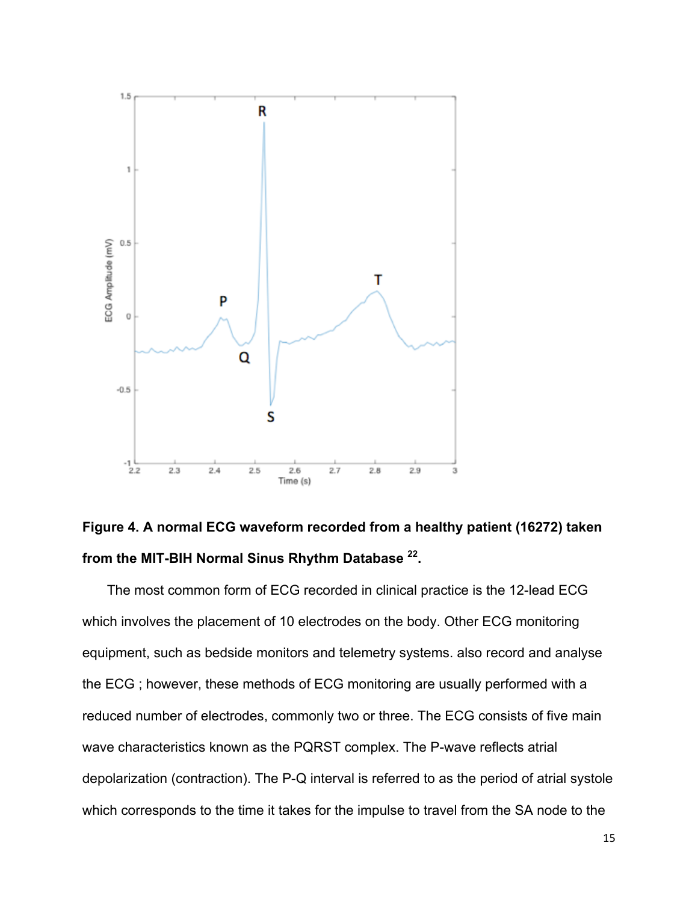

## **Figure 4. A normal ECG waveform recorded from a healthy patient (16272) taken from the MIT-BIH Normal Sinus Rhythm Database 22.**

The most common form of ECG recorded in clinical practice is the 12-lead ECG which involves the placement of 10 electrodes on the body. Other ECG monitoring equipment, such as bedside monitors and telemetry systems. also record and analyse the ECG ; however, these methods of ECG monitoring are usually performed with a reduced number of electrodes, commonly two or three. The ECG consists of five main wave characteristics known as the PQRST complex. The P-wave reflects atrial depolarization (contraction). The P-Q interval is referred to as the period of atrial systole which corresponds to the time it takes for the impulse to travel from the SA node to the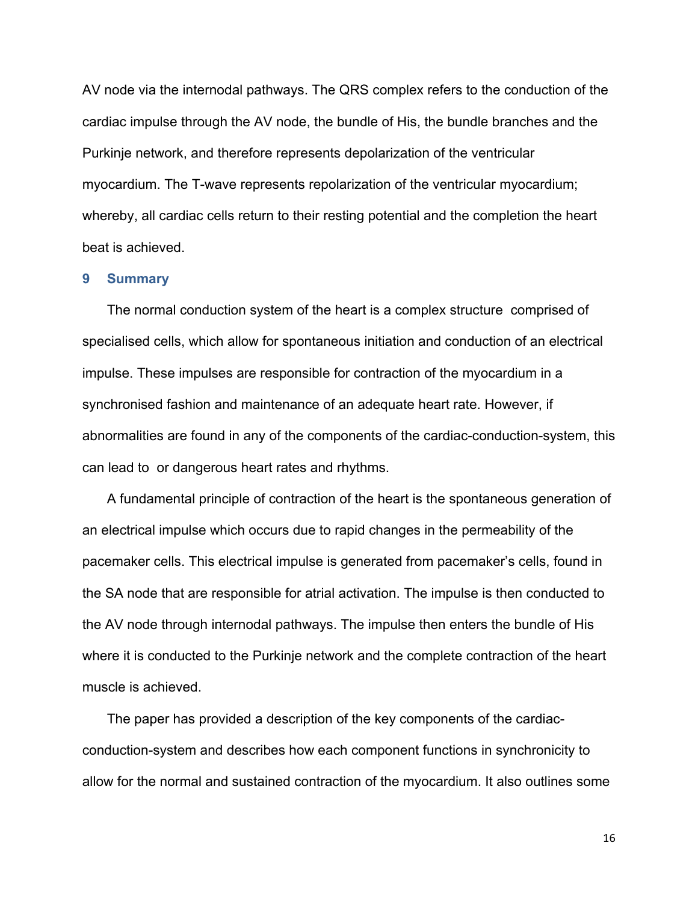AV node via the internodal pathways. The QRS complex refers to the conduction of the cardiac impulse through the AV node, the bundle of His, the bundle branches and the Purkinje network, and therefore represents depolarization of the ventricular myocardium. The T-wave represents repolarization of the ventricular myocardium; whereby, all cardiac cells return to their resting potential and the completion the heart beat is achieved.

#### **9 Summary**

The normal conduction system of the heart is a complex structure comprised of specialised cells, which allow for spontaneous initiation and conduction of an electrical impulse. These impulses are responsible for contraction of the myocardium in a synchronised fashion and maintenance of an adequate heart rate. However, if abnormalities are found in any of the components of the cardiac-conduction-system, this can lead to or dangerous heart rates and rhythms.

A fundamental principle of contraction of the heart is the spontaneous generation of an electrical impulse which occurs due to rapid changes in the permeability of the pacemaker cells. This electrical impulse is generated from pacemaker's cells, found in the SA node that are responsible for atrial activation. The impulse is then conducted to the AV node through internodal pathways. The impulse then enters the bundle of His where it is conducted to the Purkinje network and the complete contraction of the heart muscle is achieved.

The paper has provided a description of the key components of the cardiacconduction-system and describes how each component functions in synchronicity to allow for the normal and sustained contraction of the myocardium. It also outlines some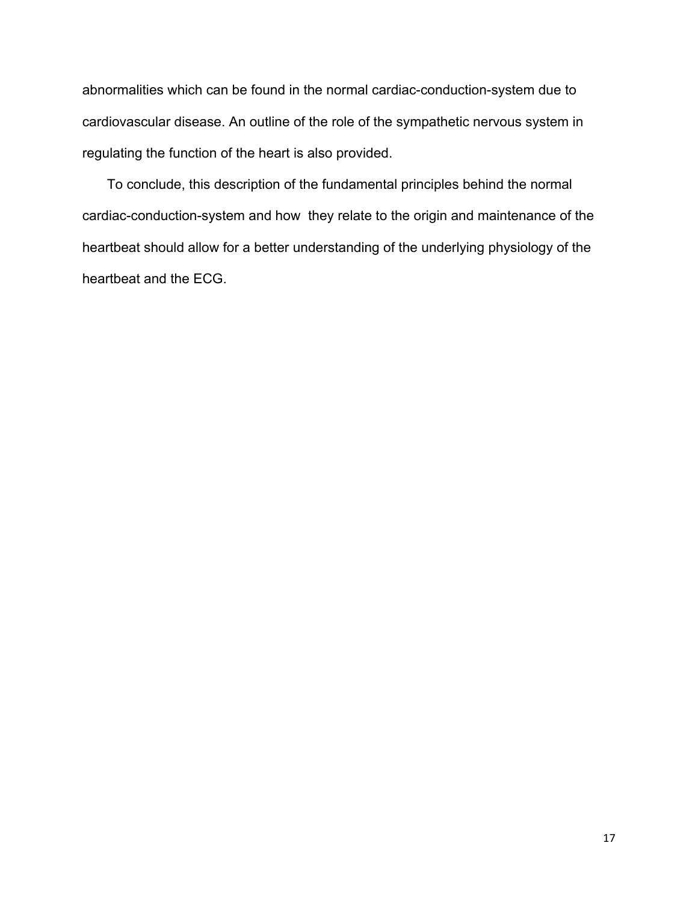abnormalities which can be found in the normal cardiac-conduction-system due to cardiovascular disease. An outline of the role of the sympathetic nervous system in regulating the function of the heart is also provided.

To conclude, this description of the fundamental principles behind the normal cardiac-conduction-system and how they relate to the origin and maintenance of the heartbeat should allow for a better understanding of the underlying physiology of the heartbeat and the ECG.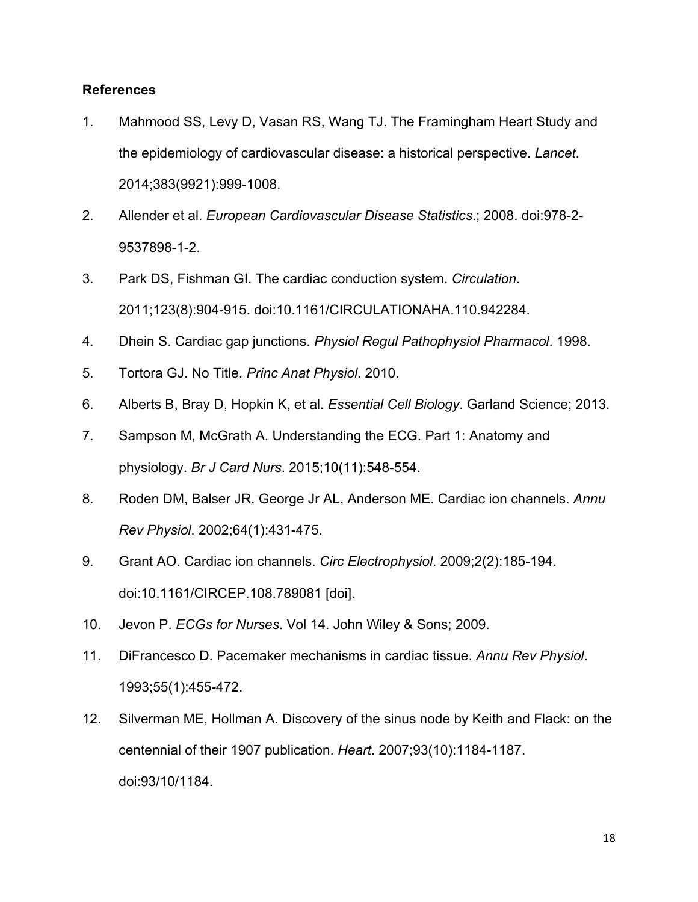## **References**

- 1. Mahmood SS, Levy D, Vasan RS, Wang TJ. The Framingham Heart Study and the epidemiology of cardiovascular disease: a historical perspective. *Lancet*. 2014;383(9921):999-1008.
- 2. Allender et al. *European Cardiovascular Disease Statistics*.; 2008. doi:978-2- 9537898-1-2.
- 3. Park DS, Fishman GI. The cardiac conduction system. *Circulation*. 2011;123(8):904-915. doi:10.1161/CIRCULATIONAHA.110.942284.
- 4. Dhein S. Cardiac gap junctions. *Physiol Regul Pathophysiol Pharmacol*. 1998.
- 5. Tortora GJ. No Title. *Princ Anat Physiol*. 2010.
- 6. Alberts B, Bray D, Hopkin K, et al. *Essential Cell Biology*. Garland Science; 2013.
- 7. Sampson M, McGrath A. Understanding the ECG. Part 1: Anatomy and physiology. *Br J Card Nurs*. 2015;10(11):548-554.
- 8. Roden DM, Balser JR, George Jr AL, Anderson ME. Cardiac ion channels. *Annu Rev Physiol*. 2002;64(1):431-475.
- 9. Grant AO. Cardiac ion channels. *Circ Electrophysiol*. 2009;2(2):185-194. doi:10.1161/CIRCEP.108.789081 [doi].
- 10. Jevon P. *ECGs for Nurses*. Vol 14. John Wiley & Sons; 2009.
- 11. DiFrancesco D. Pacemaker mechanisms in cardiac tissue. *Annu Rev Physiol*. 1993;55(1):455-472.
- 12. Silverman ME, Hollman A. Discovery of the sinus node by Keith and Flack: on the centennial of their 1907 publication. *Heart*. 2007;93(10):1184-1187. doi:93/10/1184.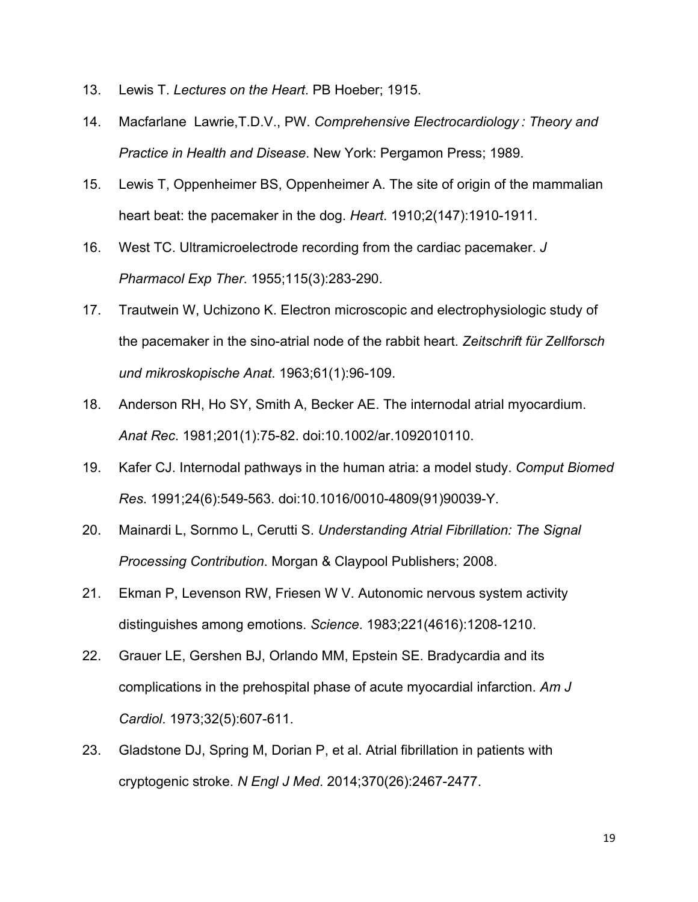- 13. Lewis T. *Lectures on the Heart*. PB Hoeber; 1915.
- 14. Macfarlane Lawrie,T.D.V., PW. *Comprehensive Electrocardiology : Theory and Practice in Health and Disease*. New York: Pergamon Press; 1989.
- 15. Lewis T, Oppenheimer BS, Oppenheimer A. The site of origin of the mammalian heart beat: the pacemaker in the dog. *Heart*. 1910;2(147):1910-1911.
- 16. West TC. Ultramicroelectrode recording from the cardiac pacemaker. *J Pharmacol Exp Ther*. 1955;115(3):283-290.
- 17. Trautwein W, Uchizono K. Electron microscopic and electrophysiologic study of the pacemaker in the sino-atrial node of the rabbit heart. *Zeitschrift für Zellforsch und mikroskopische Anat*. 1963;61(1):96-109.
- 18. Anderson RH, Ho SY, Smith A, Becker AE. The internodal atrial myocardium. *Anat Rec*. 1981;201(1):75-82. doi:10.1002/ar.1092010110.
- 19. Kafer CJ. Internodal pathways in the human atria: a model study. *Comput Biomed Res*. 1991;24(6):549-563. doi:10.1016/0010-4809(91)90039-Y.
- 20. Mainardi L, Sornmo L, Cerutti S. *Understanding Atrial Fibrillation: The Signal Processing Contribution*. Morgan & Claypool Publishers; 2008.
- 21. Ekman P, Levenson RW, Friesen W V. Autonomic nervous system activity distinguishes among emotions. *Science*. 1983;221(4616):1208-1210.
- 22. Grauer LE, Gershen BJ, Orlando MM, Epstein SE. Bradycardia and its complications in the prehospital phase of acute myocardial infarction. *Am J Cardiol*. 1973;32(5):607-611.
- 23. Gladstone DJ, Spring M, Dorian P, et al. Atrial fibrillation in patients with cryptogenic stroke. *N Engl J Med*. 2014;370(26):2467-2477.